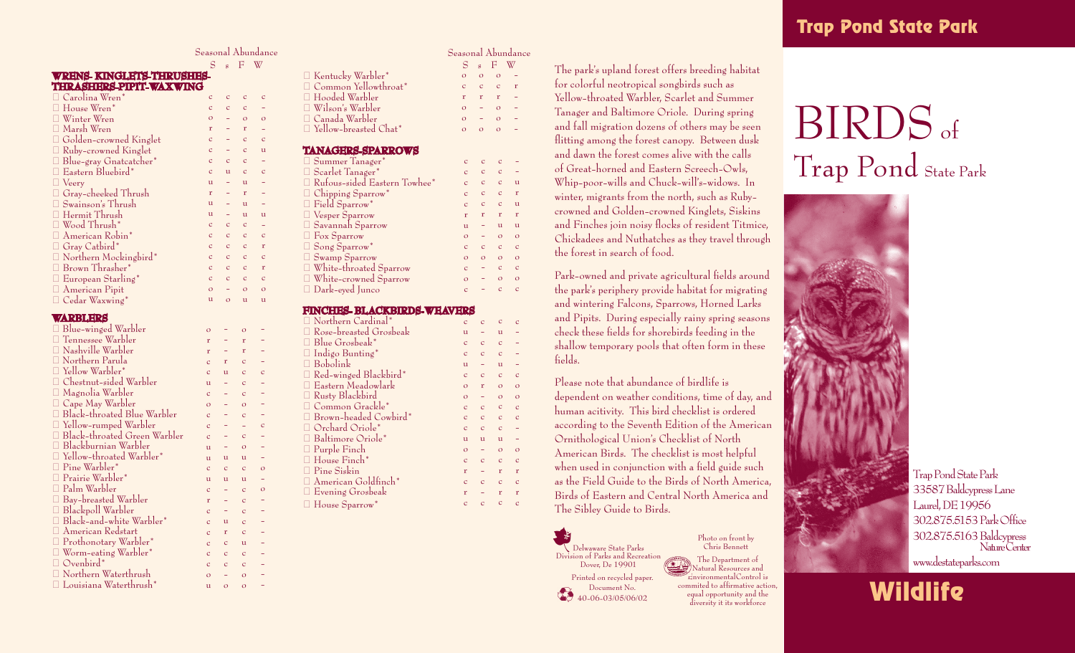### Seasonal Abundance S s F W

 $\mathbf{C}$  $\alpha$ - - - c u - - - c c c c c c o

c c o r c c c c u r u u c c c c c c o u

o r r c c c c o c c o u c u c c c c c u c c o o - - - c - - - c - - o o - - - - - - - - -

 $\overline{c}$  o c u c - - u c r c r c o  $\overline{11}$ 

c o r c c c c u r u u c c c c c c o u

#### **WRENS- KINGLETS-THRUSHES-THRASHERS-PIPIT-WAXWING**  $C = \frac{1}{W} \cdot \frac{W}{W}$ c

| $\Box$ Carolina wren                                                      |
|---------------------------------------------------------------------------|
| $\Box$ House Wren*                                                        |
| □ Winter Wren                                                             |
| □ Marsh Wren                                                              |
| O Golden-crowned Kinglet                                                  |
|                                                                           |
|                                                                           |
| □ Ruby-crowned Kinglet<br>□ Blue-gray Gnatcatcher*<br>□ Eastern Bluebird* |
|                                                                           |
| □ Veery<br>□ Gray-cheeked Thrush                                          |
| □ Swainson's Thrush<br>□ Hermit Thrush<br>□ Wood Thrush*                  |
|                                                                           |
|                                                                           |
| □ American Robin*                                                         |
| □ Gray Catbird*<br>□ Northern Mockingbird*                                |
|                                                                           |
| □ Brown Thrasher*                                                         |
| $\Box$ European Starling*                                                 |
| $\Box$ American Pipit                                                     |
| $\Box$ Cedar Waxwing*                                                     |

### **WARBLERS**

| $\overline{O}$ |                                                                                                                                |
|----------------|--------------------------------------------------------------------------------------------------------------------------------|
| r              |                                                                                                                                |
| r              |                                                                                                                                |
| $\overline{c}$ | r                                                                                                                              |
| $\overline{c}$ | ū                                                                                                                              |
| $\mathbf{u}$   |                                                                                                                                |
| $\overline{c}$ |                                                                                                                                |
| O              |                                                                                                                                |
| $\overline{c}$ |                                                                                                                                |
| $\overline{c}$ |                                                                                                                                |
| $\mathbf C$    |                                                                                                                                |
| $\mathbf{u}$   |                                                                                                                                |
| $\mathbf{u}$   | ū                                                                                                                              |
| $\mathbf C$    | $\overline{C}$                                                                                                                 |
|                | ū                                                                                                                              |
|                |                                                                                                                                |
|                |                                                                                                                                |
|                |                                                                                                                                |
|                | ū                                                                                                                              |
|                | r                                                                                                                              |
|                |                                                                                                                                |
|                | $\overline{C}$                                                                                                                 |
| $\overline{c}$ | $\overline{C}$                                                                                                                 |
| $\overline{c}$ | $\overline{C}$                                                                                                                 |
| O              |                                                                                                                                |
| $\mathbf{u}$   | $\overline{O}$                                                                                                                 |
|                | Black-throated Green Warbler<br>$\mathbf{u}$<br>$\overline{c}$<br>r<br>$\overline{c}$<br>$\overline{c}$<br>$\overline{c}$<br>C |

### Seasonal Abundance

- u r u r u o c o c o c

> c - - - c o o c c - o c r c r c

|                              |              |          | $S_{s}$ F W    |  |
|------------------------------|--------------|----------|----------------|--|
| $\Box$ Kentucky Warbler*     | $\Omega$     | $\Omega$ | $\overline{O}$ |  |
| Common Yellowthroat*         | $\mathbf{C}$ |          | c c r          |  |
| $\Box$ Hooded Warbler        | r            |          | $r$ r          |  |
| $\Box$ Wilson's Warbler      | $\Omega$     |          | $\sim$ 0       |  |
| $\Box$ Canada Warbler        | $\Omega$     |          | $\Omega$       |  |
| $\Box$ Yellow-breasted Chat* |              | $\Omega$ | $\Omega$       |  |

### **TANAGERS-SPARROWS**

| □ Summer Tanager*             | $\mathbf{C}$   | $\mathbf C$  |                |
|-------------------------------|----------------|--------------|----------------|
| □ Scarlet Tanager*            | $\mathbf{c}$ . | $\mathbf C$  | C              |
| Rufous-sided Eastern Towhee*  | C.             | $\mathbf{C}$ | C              |
| $\Box$ Chipping Sparrow*      | C.             | $\mathbf{C}$ | $\overline{C}$ |
| Field Sparrow*                | $\mathbf{C}$   | $\mathbf{C}$ | $\overline{C}$ |
| $\Box$ Vesper Sparrow         | r              | r            | r              |
| □ Savannah Sparrow            | $\mathbf{u}$   |              | 11             |
| $\Box$ Fox Sparrow            | $\Omega$       |              | $\Omega$       |
| □ Song Sparrow*               | C.             | $\mathbf{C}$ | C              |
| $\Box$ Swamp Sparrow          | $\Omega$       | $\circ$      | $\Omega$       |
| $\Box$ White-throated Sparrow | $\mathbf{C}$   |              |                |
| □ White-crowned Sparrow       | $\Omega$       |              |                |
| $\Box$ Dark-eyed Junco        | $\mathcal{C}$  |              |                |
|                               |                |              |                |

### **FINCHES- BLACKBIRDS-WEAVERS**

| Northern Cardinal*           | $\mathbf C$    | $\mathbf C$  | $\mathbf C$    |
|------------------------------|----------------|--------------|----------------|
| Rose-breasted Grosbeak       | $\mathbf{u}$   |              | $\mathbf{u}$   |
| Blue Grosbeak*               | $\mathbf C$    | $\mathbf C$  | $\overline{c}$ |
| $\Box$ Indigo Bunting*       | $\overline{c}$ | $\mathbf C$  | $\overline{c}$ |
| $\Box$ Bobolink              | u              |              | $\mathbf{u}$   |
| $\Box$ Red-winged Blackbird* | $\overline{c}$ | $\mathbf C$  | $\overline{c}$ |
| <b>Eastern Meadowlark</b>    | $\circ$        | r            | $\circ$        |
| Rusty Blackbird              | $\circ$        |              | $\circ$        |
| □ Common Grackle*            | $\overline{c}$ | $\mathbf C$  | $\overline{c}$ |
| Brown-headed Cowbird*        | $\overline{c}$ | $\mathbf C$  | $\overline{c}$ |
| $\Box$ Orchard Oriole*       | $\mathbf{C}$   | $\mathbf C$  | $\overline{c}$ |
| □ Baltimore Oriole*          | $\mathbf{u}$   | $\mathbf{u}$ | $\mathbf u$    |
| $\Box$ Purple Finch          | $\circ$        |              | $\circ$        |
| $\Box$ House Finch*          | $\overline{c}$ | $\mathbf C$  | $\overline{c}$ |
| $\Box$ Pine Siskin           | r              |              | r              |
| American Goldfinch*          | $\overline{c}$ | $\mathbf C$  | $\overline{c}$ |
| □ Evening Grosbeak           | r              |              | r              |
| $\Box$ House Sparrow*        | $\overline{c}$ | $\mathbf C$  | $\mathbf{C}$   |
|                              |                |              |                |

The park's upland forest offers breeding habitat for colorful neotropical songbirds such as Yellow-throated Warbler, Scarlet and Summer Tanager and Baltimore Oriole. During spring and fall migration dozens of others may be seen flitting among the forest canopy. Between dusk and dawn the forest comes alive with the calls of Great-horned and Eastern Screech-Owls, Whip-poor-wills and Chuck-will's-widows. In winter, migrants from the north, such as Rubycrowned and Golden-crowned Kinglets, Siskins and Finches join noisy flocks of resident Titmice, Chickadees and Nuthatches as they travel through the forest in search of food.

Park-owned and private agricultural fields around the park's periphery provide habitat for migrating and wintering Falcons, Sparrows, Horned Larks and Pipits. During especially rainy spring seasons check these fields for shorebirds feeding in the shallow temporary pools that often form in these fields.

Please note that abundance of birdlife is dependent on weather conditions, time of day, and human acitivity. This bird checklist is ordered according to the Seventh Edition of the American Ornithological Union's Checklist of North American Birds. The checklist is most helpful when used in conjunction with a field guide such as the Field Guide to the Birds of North America, Birds of Eastern and Central North America and The Sibley Guide to Birds.



Photo on front by Chris Bennett The Department of Natural Resources and EnvironmentalControl is commited to affirmative action, equal opportunity and the diversity it its workforce

# BIRDS of Trap Pond State Park



Trap Pond State Park 33587 Baldcypress Lane Laurel, DE 19956 302.875.5153 Park Office 302.875.5163 Baldcypress Nature Center www.destateparks.com